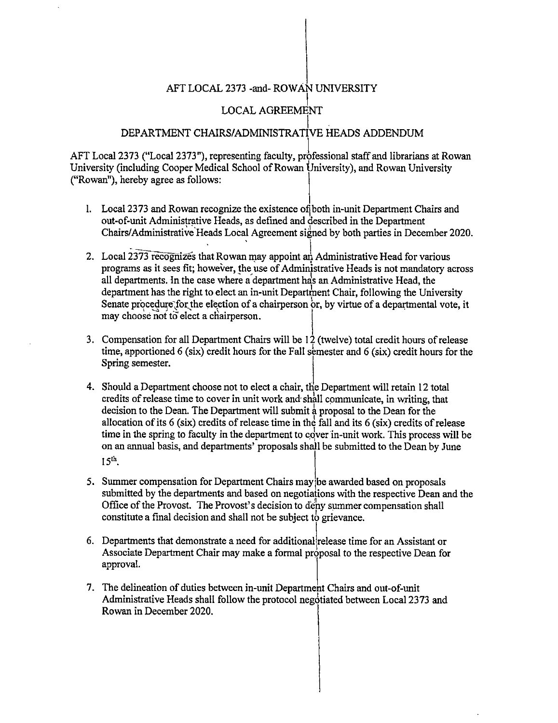## AFT LOCAL 2373 -and- ROWAN UNIVERSITY

## I LOCAL AGREEMENT

## $\vert$ . DEPARTMENT CHAIRS/ADMINISTRATIVE HEADS ADDENDUM

AFT Local 2373 ("Local 2373"), representing faculty, professional staff and librarians at Rowan University (including Cooper Medical School of Rowan University), and Rowan University ("Rowan"), hereby agree as follows: University (including Cooper Medical School of Rowan University), and Rowan University

- 1. Local 2373 and Rowan recognize the existence of both in-unit Department Chairs and out-of-unit Administrative Heads, as defined and described in the Department Chairs/Administrative Heads Local Agreement signed by both parties in December 2020.
- 2. Local 2373 recognizes that Rowan may appoint an Administrative Head for various programs as it sees fit; however, the use of Administrative Heads is not mandatory across all departments. In the case where a department has an Administrative Head, the department has the right to elect an in-unit Departinent Chair, following the University Senate procedure for the election of a chairperson or, by virtue of a departmental vote, it may choose not to elect a chairperson.
- 3. Compensation for all Department Chairs will be 12 (twelve) total credit hours of release time, apportioned 6 (six) credit hours for the Fall semester and 6 (six) credit hours for the Spring semester.
- 4. Should a Department choose not to elect a chair, the Department will retain 12 total credits of release time to cover in unit work and shall communicate, in writing, that decision to the Dean. The Department will submit a proposal to the Dean for the allocation of its  $6$  (six) credits of release time in the fall and its  $6$  (six) credits of release time in the spring to faculty in the department to cover in-unit work. This process will be on an annual basis, and departments' proposals shall be submitted to the Dean by June time in the spring to factory in the department to cover in<br>on an annual basis, and departments' proposals shall be s<br> $15<sup>th</sup>$ .
- 5. Summer compensation for Department Chairs may be awarded based on proposals submitted by the departments and based on negotiations with the respective Dean and the Office of the Provost. The Provost's decision to deny summer compensation shall constitute a final decision and shall not be subject *tb* grievance.
- 6. Departments that demonstrate a need for additionallrelease time for an Assistant or Associate Department Chair may make a formal proposal to the respective Dean for approval.
- 7. The delineation of duties between in-unit Department Chairs and out-of-unit Administrative Heads shall follow the protocol negotiated between Local 2373 and Rowan in December 2020.